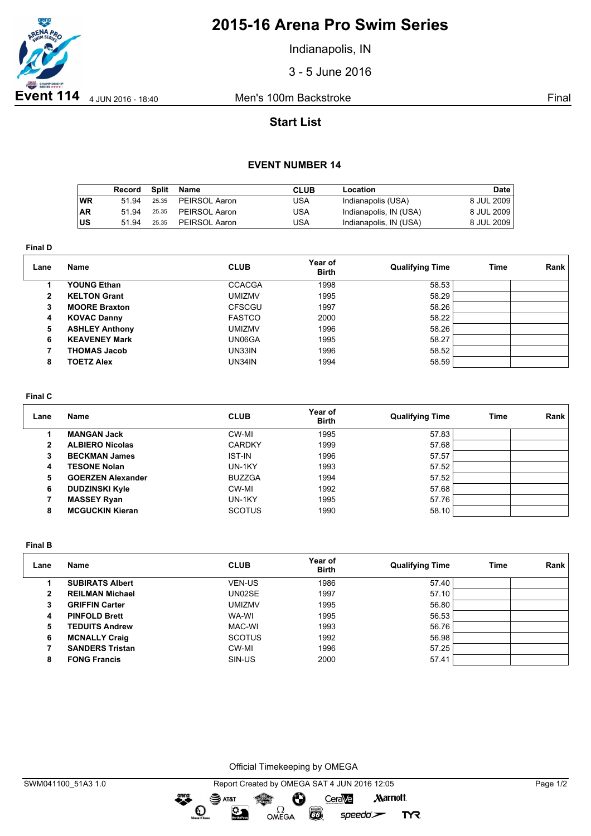

# **2015-16 Arena Pro Swim Series**

Indianapolis, IN

3 - 5 June 2016

## **Start List**

### **EVENT NUMBER 14**

|           | Record | Split | Name          | CLUB | Location               | Date         |
|-----------|--------|-------|---------------|------|------------------------|--------------|
| <b>WR</b> | 51 94  | 25.35 | PEIRSOL Aaron | USA  | Indianapolis (USA)     | 8 JUL 2009   |
| ∣AR       | 5194   | 25.35 | PEIRSOL Aaron | USA  | Indianapolis, IN (USA) | 8 JUL 2009 I |
| ∣us       | 51 94  | 25.35 | PEIRSOL Aaron | JSA  | Indianapolis, IN (USA) | 8 JUL 2009   |

**Final D**

| Lane | <b>Name</b>           | <b>CLUB</b>   | Year of<br><b>Birth</b> | <b>Qualifying Time</b> | Time | Rank |
|------|-----------------------|---------------|-------------------------|------------------------|------|------|
|      | <b>YOUNG Ethan</b>    | <b>CCACGA</b> | 1998                    | 58.53                  |      |      |
| 2    | <b>KELTON Grant</b>   | UMIZMV        | 1995                    | 58.29                  |      |      |
| 3    | <b>MOORE Braxton</b>  | <b>CFSCGU</b> | 1997                    | 58.26                  |      |      |
| 4    | <b>KOVAC Danny</b>    | <b>FASTCO</b> | 2000                    | 58.22                  |      |      |
| 5    | <b>ASHLEY Anthony</b> | UMIZMV        | 1996                    | 58.26                  |      |      |
| 6    | <b>KEAVENEY Mark</b>  | UN06GA        | 1995                    | 58.27                  |      |      |
|      | <b>THOMAS Jacob</b>   | UN33IN.       | 1996                    | 58.52                  |      |      |
| 8    | <b>TOETZ Alex</b>     | UN34IN        | 1994                    | 58.59                  |      |      |

#### **Final C**

| Lane | Name                     | <b>CLUB</b>   | Year of<br><b>Birth</b> | <b>Qualifying Time</b> | Time | Rank |
|------|--------------------------|---------------|-------------------------|------------------------|------|------|
|      | <b>MANGAN Jack</b>       | CW-MI         | 1995                    | 57.83                  |      |      |
| 2    | <b>ALBIERO Nicolas</b>   | <b>CARDKY</b> | 1999                    | 57.68                  |      |      |
|      | <b>BECKMAN James</b>     | <b>IST-IN</b> | 1996                    | 57.57                  |      |      |
| 4    | <b>TESONE Nolan</b>      | UN-1KY        | 1993                    | 57.52                  |      |      |
| 5    | <b>GOERZEN Alexander</b> | <b>BUZZGA</b> | 1994                    | 57.52                  |      |      |
| 6    | <b>DUDZINSKI Kyle</b>    | CW-MI         | 1992                    | 57.68                  |      |      |
|      | <b>MASSEY Ryan</b>       | UN-1KY        | 1995                    | 57.76                  |      |      |
| 8    | <b>MCGUCKIN Kieran</b>   | <b>SCOTUS</b> | 1990                    | 58.10                  |      |      |

**Final B**

| Lane | Name                   | <b>CLUB</b>   | Year of<br><b>Birth</b> | <b>Qualifying Time</b> | Time | Rank |
|------|------------------------|---------------|-------------------------|------------------------|------|------|
|      | <b>SUBIRATS Albert</b> | <b>VEN-US</b> | 1986                    | 57.40                  |      |      |
| 2    | <b>REILMAN Michael</b> | UN02SE        | 1997                    | 57.10                  |      |      |
| 3    | <b>GRIFFIN Carter</b>  | umizmv        | 1995                    | 56.80                  |      |      |
| 4    | <b>PINFOLD Brett</b>   | WA-WI         | 1995                    | 56.53                  |      |      |
| 5    | <b>TEDUITS Andrew</b>  | MAC-WI        | 1993                    | 56.76                  |      |      |
| 6    | <b>MCNALLY Craig</b>   | <b>SCOTUS</b> | 1992                    | 56.98                  |      |      |
|      | <b>SANDERS Tristan</b> | CW-MI         | 1996                    | 57.25                  |      |      |
| 8    | <b>FONG Francis</b>    | SIN-US        | 2000                    | 57.41                  |      |      |

Official Timekeeping by OMEGA

OMEGA

Ô

 $\overline{G}$ 

CeraVe

 $speedo$ 

**Marriott** 

**TYR** 

dreng:

 $\mathbf{O}$ 

SAT&T

 $\mathfrak{D}$